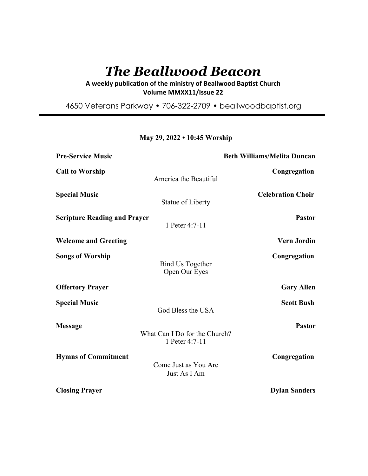# *The Beallwood Beacon*

A weekly publication of the ministry of Beallwood Baptist Church **Volume MMXX11/Issue 22** 

4650 Veterans Parkway • 706-322-2709 • beallwoodbaptist.org

# **May 29, 2022 • 10:45 Worship**

| <b>Pre-Service Music</b>            |                                                 | <b>Beth Williams/Melita Duncan</b> |
|-------------------------------------|-------------------------------------------------|------------------------------------|
| <b>Call to Worship</b>              | America the Beautiful                           | Congregation                       |
| <b>Special Music</b>                | Statue of Liberty                               | <b>Celebration Choir</b>           |
| <b>Scripture Reading and Prayer</b> | 1 Peter 4:7-11                                  | <b>Pastor</b>                      |
| <b>Welcome and Greeting</b>         |                                                 | <b>Vern Jordin</b>                 |
| <b>Songs of Worship</b>             | <b>Bind Us Together</b><br>Open Our Eyes        | Congregation                       |
| <b>Offertory Prayer</b>             |                                                 | <b>Gary Allen</b>                  |
| <b>Special Music</b>                | God Bless the USA                               | <b>Scott Bush</b>                  |
| <b>Message</b>                      | What Can I Do for the Church?<br>1 Peter 4:7-11 | <b>Pastor</b>                      |
| <b>Hymns of Commitment</b>          | Come Just as You Are<br>Just As I Am            | Congregation                       |
| <b>Closing Prayer</b>               |                                                 | <b>Dylan Sanders</b>               |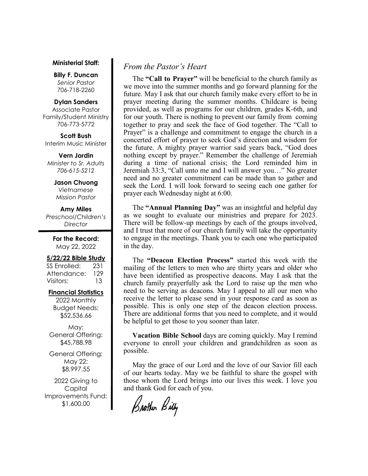#### **Ministerial Staff:**

**Billy F. Duncan** *Senior Pastor*  706-718-2260

**Dylan Sanders** 

Associate Pastor Family/Student Ministry 706-773-5772

**Scott Bush**  Interim Music Minister

**Vern Jordin** *Minister to Sr. Adults 706-615-5212* 

> **Jason Chuong**  *Vietnamese Mission Pastor*

# **Amy Miles** *Preschool/Children's Director*

**For the Record:**  May 22, 2022

# **5/22/22 Bible Study**

SS Enrolled: 231 Attendance: 129 Visitors: 13

# **Financial Statistics**

2022 Monthly Budget Needs: \$52,536.66

May: General Offering: \$45,788.98

General Offering: May 22: \$8,997.55

2022 Giving to Capital Improvements Fund: \$1,600.00

# *From the Pastor's Heart*

 The **"Call to Prayer"** will be beneficial to the church family as we move into the summer months and go forward planning for the future. May I ask that our church family make every effort to be in prayer meeting during the summer months. Childcare is being provided, as well as programs for our children, grades K-6th, and for our youth. There is nothing to prevent our family from coming together to pray and seek the face of God together. The "Call to Prayer" is a challenge and commitment to engage the church in a concerted effort of prayer to seek God's direction and wisdom for the future. A mighty prayer warrior said years back, "God does nothing except by prayer." Remember the challenge of Jeremiah during a time of national crisis; the Lord reminded him in Jeremiah 33:3, "Call unto me and I will answer you…" No greater need and no greater commitment can be made than to gather and seek the Lord. I will look forward to seeing each one gather for prayer each Wednesday night at 6:00.

 The **"Annual Planning Day"** was an insightful and helpful day as we sought to evaluate our ministries and prepare for 2023. There will be follow-up meetings by each of the groups involved, and I trust that more of our church family will take the opportunity to engage in the meetings. Thank you to each one who participated in the day.

 The **"Deacon Election Process"** started this week with the mailing of the letters to men who are thirty years and older who have been identified as prospective deacons. May I ask that the church family prayerfully ask the Lord to raise up the men who need to be serving as deacons. May I appeal to all our men who receive the letter to please send in your response card as soon as possible. This is only one step of the deacon election process. There are additional forms that you need to complete, and it would be helpful to get those to you sooner than later.

 **Vacation Bible School** days are coming quickly. May I remind everyone to enroll your children and grandchildren as soon as possible.

 May the grace of our Lord and the love of our Savior fill each of our hearts today. May we be faithful to share the gospel with those whom the Lord brings into our lives this week. I love you and thank God for each of you.

Brother Billy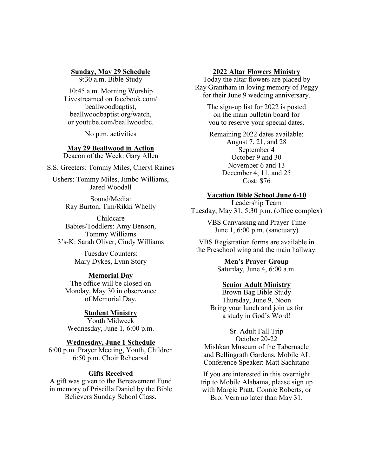# **Sunday, May 29 Schedule**

9:30 a.m. Bible Study

10:45 a.m. Morning Worship Livestreamed on facebook.com/ beallwoodbaptist, beallwoodbaptist.org/watch, or youtube.com/beallwoodbc.

No p.m. activities

# **May 29 Beallwood in Action**

Deacon of the Week: Gary Allen

S.S. Greeters: Tommy Miles, Cheryl Raines

Ushers: Tommy Miles, Jimbo Williams, Jared Woodall

> Sound/Media: Ray Burton, Tim/Rikki Whelly

Childcare Babies/Toddlers: Amy Benson, Tommy Williams 3's-K: Sarah Oliver, Cindy Williams

> Tuesday Counters: Mary Dykes, Lynn Story

# **Memorial Day**

The office will be closed on Monday, May 30 in observance of Memorial Day.

# **Student Ministry**

Youth Midweek Wednesday, June 1, 6:00 p.m.

# **Wednesday, June 1 Schedule**

6:00 p.m. Prayer Meeting, Youth, Children 6:50 p.m. Choir Rehearsal

# **Gifts Received**

A gift was given to the Bereavement Fund in memory of Priscilla Daniel by the Bible Believers Sunday School Class.

### **2022 Altar Flowers Ministry**

Today the altar flowers are placed by Ray Grantham in loving memory of Peggy for their June 9 wedding anniversary.

> The sign-up list for 2022 is posted on the main bulletin board for you to reserve your special dates.

Remaining 2022 dates available: August 7, 21, and 28 September 4 October 9 and 30 November 6 and 13 December 4, 11, and 25 Cost: \$76

# **Vacation Bible School June 6-10**

Leadership Team Tuesday, May 31, 5:30 p.m. (office complex)

> VBS Canvassing and Prayer Time June 1, 6:00 p.m. (sanctuary)

VBS Registration forms are available in the Preschool wing and the main hallway.

> **Men's Prayer Group** Saturday, June 4, 6:00 a.m.

## **Senior Adult Ministry**

Brown Bag Bible Study Thursday, June 9, Noon Bring your lunch and join us for a study in God's Word!

Sr. Adult Fall Trip October 20-22 Mishkan Museum of the Tabernacle and Bellingrath Gardens, Mobile AL Conference Speaker: Matt Sachitano

If you are interested in this overnight trip to Mobile Alabama, please sign up with Margie Pratt, Connie Roberts, or Bro. Vern no later than May 31.